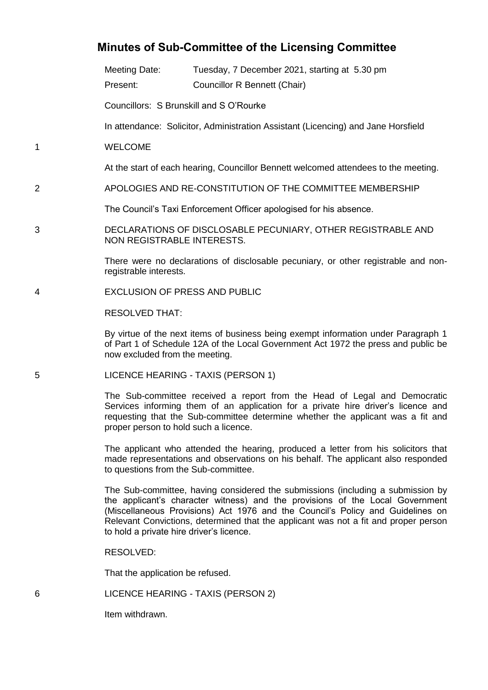## **Minutes of Sub-Committee of the Licensing Committee**

Meeting Date: Tuesday, 7 December 2021, starting at 5.30 pm

Present: Councillor R Bennett (Chair)

Councillors: S Brunskill and S O'Rourke

In attendance: Solicitor, Administration Assistant (Licencing) and Jane Horsfield

1 WELCOME

At the start of each hearing, Councillor Bennett welcomed attendees to the meeting.

2 APOLOGIES AND RE-CONSTITUTION OF THE COMMITTEE MEMBERSHIP

The Council's Taxi Enforcement Officer apologised for his absence.

3 DECLARATIONS OF DISCLOSABLE PECUNIARY, OTHER REGISTRABLE AND NON REGISTRABLE INTERESTS.

> There were no declarations of disclosable pecuniary, or other registrable and nonregistrable interests.

4 EXCLUSION OF PRESS AND PUBLIC

RESOLVED THAT:

By virtue of the next items of business being exempt information under Paragraph 1 of Part 1 of Schedule 12A of the Local Government Act 1972 the press and public be now excluded from the meeting.

5 LICENCE HEARING - TAXIS (PERSON 1)

The Sub-committee received a report from the Head of Legal and Democratic Services informing them of an application for a private hire driver's licence and requesting that the Sub-committee determine whether the applicant was a fit and proper person to hold such a licence.

The applicant who attended the hearing, produced a letter from his solicitors that made representations and observations on his behalf. The applicant also responded to questions from the Sub-committee.

The Sub-committee, having considered the submissions (including a submission by the applicant's character witness) and the provisions of the Local Government (Miscellaneous Provisions) Act 1976 and the Council's Policy and Guidelines on Relevant Convictions, determined that the applicant was not a fit and proper person to hold a private hire driver's licence.

RESOLVED:

That the application be refused.

| LICENCE HEARING - TAXIS (PERSON 2)<br>6 |  |
|-----------------------------------------|--|
|-----------------------------------------|--|

Item withdrawn.